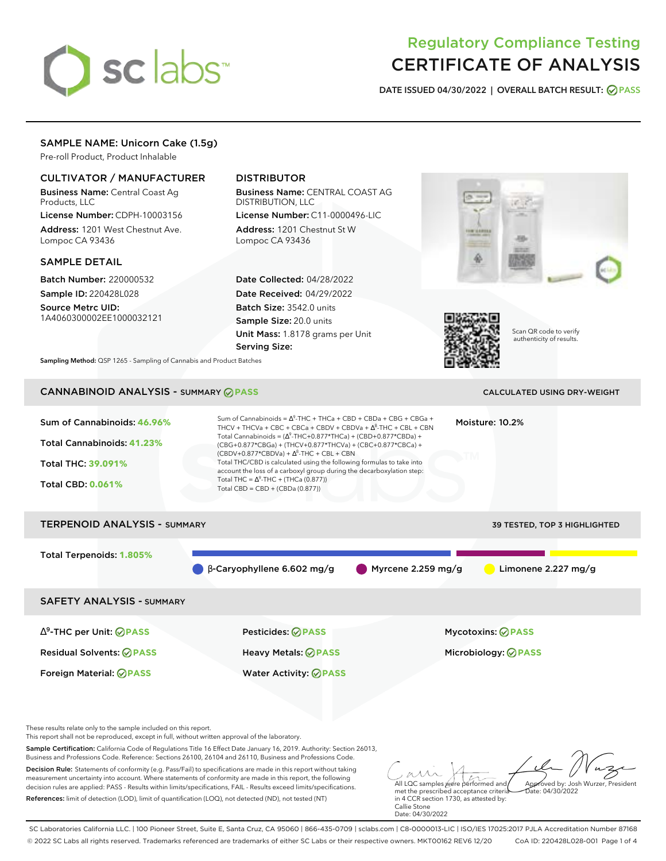# sclabs<sup>\*</sup>

# Regulatory Compliance Testing CERTIFICATE OF ANALYSIS

**DATE ISSUED 04/30/2022 | OVERALL BATCH RESULT: PASS**

# SAMPLE NAME: Unicorn Cake (1.5g)

Pre-roll Product, Product Inhalable

# CULTIVATOR / MANUFACTURER

Business Name: Central Coast Ag Products, LLC

License Number: CDPH-10003156 Address: 1201 West Chestnut Ave. Lompoc CA 93436

# SAMPLE DETAIL

Batch Number: 220000532 Sample ID: 220428L028

Source Metrc UID: 1A4060300002EE1000032121

# DISTRIBUTOR

Business Name: CENTRAL COAST AG DISTRIBUTION, LLC License Number: C11-0000496-LIC

Address: 1201 Chestnut St W Lompoc CA 93436

Date Collected: 04/28/2022 Date Received: 04/29/2022 Batch Size: 3542.0 units Sample Size: 20.0 units Unit Mass: 1.8178 grams per Unit Serving Size:





Scan QR code to verify authenticity of results.

**Sampling Method:** QSP 1265 - Sampling of Cannabis and Product Batches

# CANNABINOID ANALYSIS - SUMMARY **PASS** CALCULATED USING DRY-WEIGHT

| Sum of Cannabinoids: 46.96%<br>Total Cannabinoids: 41.23%<br>Total THC: 39.091%<br><b>Total CBD: 0.061%</b> | Sum of Cannabinoids = $\Delta^9$ -THC + THCa + CBD + CBDa + CBG + CBGa +<br>Moisture: 10.2%<br>THCV + THCVa + CBC + CBCa + CBDV + CBDVa + $\Delta^8$ -THC + CBL + CBN<br>Total Cannabinoids = $(\Delta^9$ -THC+0.877*THCa) + (CBD+0.877*CBDa) +<br>(CBG+0.877*CBGa) + (THCV+0.877*THCVa) + (CBC+0.877*CBCa) +<br>$(CBDV+0.877*CBDVa) + \Delta^8$ -THC + CBL + CBN<br>Total THC/CBD is calculated using the following formulas to take into<br>account the loss of a carboxyl group during the decarboxylation step:<br>Total THC = $\Delta^9$ -THC + (THCa (0.877))<br>Total CBD = CBD + (CBDa (0.877)) |                      |                            |  |  |
|-------------------------------------------------------------------------------------------------------------|---------------------------------------------------------------------------------------------------------------------------------------------------------------------------------------------------------------------------------------------------------------------------------------------------------------------------------------------------------------------------------------------------------------------------------------------------------------------------------------------------------------------------------------------------------------------------------------------------------|----------------------|----------------------------|--|--|
| <b>TERPENOID ANALYSIS - SUMMARY</b><br><b>39 TESTED, TOP 3 HIGHLIGHTED</b>                                  |                                                                                                                                                                                                                                                                                                                                                                                                                                                                                                                                                                                                         |                      |                            |  |  |
| Total Terpenoids: 1.805%                                                                                    | $\beta$ -Caryophyllene 6.602 mg/g                                                                                                                                                                                                                                                                                                                                                                                                                                                                                                                                                                       | Myrcene $2.259$ mg/g | Limonene $2.227$ mg/g      |  |  |
| <b>SAFETY ANALYSIS - SUMMARY</b>                                                                            |                                                                                                                                                                                                                                                                                                                                                                                                                                                                                                                                                                                                         |                      |                            |  |  |
| $\Delta^9$ -THC per Unit: $\bigcirc$ PASS                                                                   | Pesticides: ⊘PASS                                                                                                                                                                                                                                                                                                                                                                                                                                                                                                                                                                                       |                      | <b>Mycotoxins: ⊘PASS</b>   |  |  |
| <b>Residual Solvents: ⊘PASS</b>                                                                             | <b>Heavy Metals: ⊘ PASS</b>                                                                                                                                                                                                                                                                                                                                                                                                                                                                                                                                                                             |                      | Microbiology: <b>⊘PASS</b> |  |  |
| Foreign Material: <b>⊘ PASS</b>                                                                             | <b>Water Activity: ⊘PASS</b>                                                                                                                                                                                                                                                                                                                                                                                                                                                                                                                                                                            |                      |                            |  |  |

These results relate only to the sample included on this report.

This report shall not be reproduced, except in full, without written approval of the laboratory.

Sample Certification: California Code of Regulations Title 16 Effect Date January 16, 2019. Authority: Section 26013, Business and Professions Code. Reference: Sections 26100, 26104 and 26110, Business and Professions Code.

Decision Rule: Statements of conformity (e.g. Pass/Fail) to specifications are made in this report without taking measurement uncertainty into account. Where statements of conformity are made in this report, the following decision rules are applied: PASS - Results within limits/specifications, FAIL - Results exceed limits/specifications. References: limit of detection (LOD), limit of quantification (LOQ), not detected (ND), not tested (NT)

All LQC samples were performed and met the prescribed acceptance criteria Approved by: Josh Wurzer, President Date: 04/30/2022

in 4 CCR section 1730, as attested by: Callie Stone Date: 04/30/2022

SC Laboratories California LLC. | 100 Pioneer Street, Suite E, Santa Cruz, CA 95060 | 866-435-0709 | sclabs.com | C8-0000013-LIC | ISO/IES 17025:2017 PJLA Accreditation Number 87168 © 2022 SC Labs all rights reserved. Trademarks referenced are trademarks of either SC Labs or their respective owners. MKT00162 REV6 12/20 CoA ID: 220428L028-001 Page 1 of 4